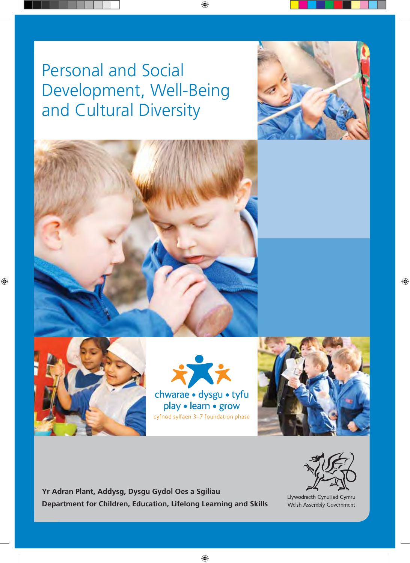# Personal and Social Development, Well-Being and Cultural Diversity













**Yr Adran Plant, Addysg, Dysgu Gydol Oes a Sgiliau Department for Children, Education, Lifelong Learning and Skills** 

Llywodraeth Cynulliad Cymru Welsh Assembly Government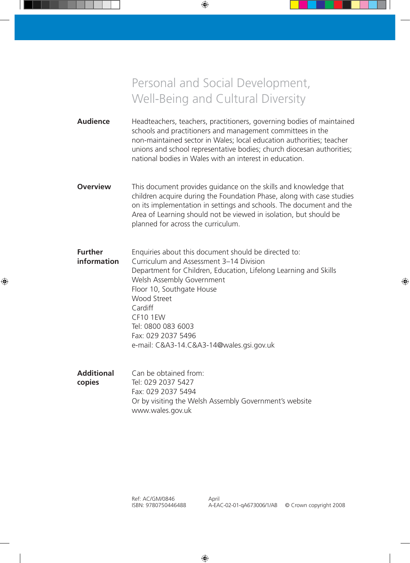## Personal and Social Development, Well-Being and Cultural Diversity

**Audience**  Headteachers, teachers, practitioners, governing bodies of maintained schools and practitioners and management committees in the non-maintained sector in Wales; local education authorities; teacher unions and school representative bodies; church diocesan authorities; national bodies in Wales with an interest in education.

- **Overview**  This document provides guidance on the skills and knowledge that children acquire during the Foundation Phase, along with case studies on its implementation in settings and schools. The document and the Area of Learning should not be viewed in isolation, but should be planned for across the curriculum.
- **Further information**  Enquiries about this document should be directed to: Curriculum and Assessment 3–14 Division Department for Children, Education, Lifelong Learning and Skills Welsh Assembly Government Floor 10, Southgate House Wood Street Cardiff CF10 1EW Tel: 0800 083 6003 Fax: 029 2037 5496 e-mail: C&A3-14.C&A3-14@wales.gsi.gov.uk
- **Additional copies**  Can be obtained from: Tel: 029 2037 5427 Fax: 029 2037 5494 Or by visiting the Welsh Assembly Government's website www.wales.gov.uk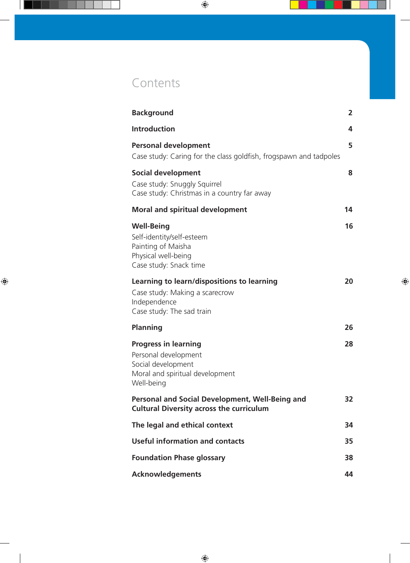## Contents

| <b>Background</b>                                                                                                          | 2  |
|----------------------------------------------------------------------------------------------------------------------------|----|
| <b>Introduction</b>                                                                                                        | 4  |
| <b>Personal development</b><br>Case study: Caring for the class goldfish, frogspawn and tadpoles                           | 5  |
| <b>Social development</b><br>Case study: Snuggly Squirrel<br>Case study: Christmas in a country far away                   | 8  |
| <b>Moral and spiritual development</b>                                                                                     | 14 |
| <b>Well-Being</b><br>Self-identity/self-esteem<br>Painting of Maisha<br>Physical well-being<br>Case study: Snack time      | 16 |
| Learning to learn/dispositions to learning<br>Case study: Making a scarecrow<br>Independence<br>Case study: The sad train  | 20 |
| <b>Planning</b>                                                                                                            | 26 |
| <b>Progress in learning</b><br>Personal development<br>Social development<br>Moral and spiritual development<br>Well-being | 28 |
| Personal and Social Development, Well-Being and<br><b>Cultural Diversity across the curriculum</b>                         | 32 |
| The legal and ethical context                                                                                              | 34 |
| <b>Useful information and contacts</b>                                                                                     | 35 |
| <b>Foundation Phase glossary</b>                                                                                           | 38 |
| <b>Acknowledgements</b>                                                                                                    | 44 |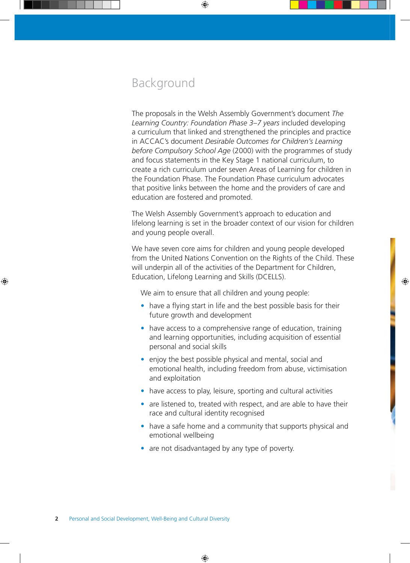## Background

The proposals in the Welsh Assembly Government's document *The Learning Country: Foundation Phase 3–7 years* included developing a curriculum that linked and strengthened the principles and practice in ACCAC's document *Desirable Outcomes for Children's Learning before Compulsory School Age* (2000) with the programmes of study and focus statements in the Key Stage 1 national curriculum, to create a rich curriculum under seven Areas of Learning for children in the Foundation Phase. The Foundation Phase curriculum advocates that positive links between the home and the providers of care and education are fostered and promoted.

The Welsh Assembly Government's approach to education and lifelong learning is set in the broader context of our vision for children and young people overall.

We have seven core aims for children and young people developed from the United Nations Convention on the Rights of the Child. These will underpin all of the activities of the Department for Children, Education, Lifelong Learning and Skills (DCELLS).

We aim to ensure that all children and young people:

- have a flying start in life and the best possible basis for their future growth and development
- have access to a comprehensive range of education, training and learning opportunities, including acquisition of essential personal and social skills
- enjoy the best possible physical and mental, social and emotional health, including freedom from abuse, victimisation and exploitation
- have access to play, leisure, sporting and cultural activities
- are listened to, treated with respect, and are able to have their race and cultural identity recognised
- have a safe home and a community that supports physical and emotional wellbeing
- are not disadvantaged by any type of poverty.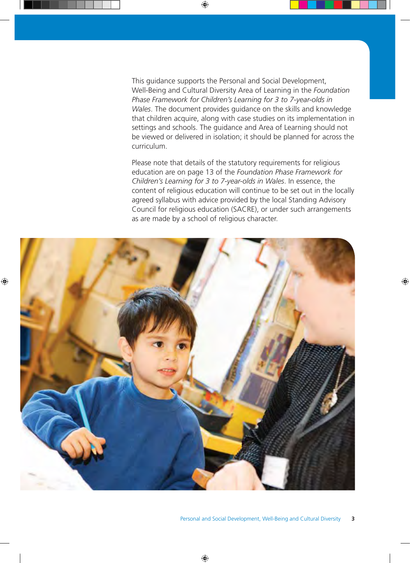This guidance supports the Personal and Social Development, Well-Being and Cultural Diversity Area of Learning in the *Foundation Phase Framework for Children's Learning for 3 to 7-year-olds in Wales*. The document provides guidance on the skills and knowledge that children acquire, along with case studies on its implementation in settings and schools. The guidance and Area of Learning should not be viewed or delivered in isolation; it should be planned for across the curriculum.

Please note that details of the statutory requirements for religious education are on page 13 of the *Foundation Phase Framework for Children's Learning for 3 to 7-year-olds in Wales*. In essence, the content of religious education will continue to be set out in the locally agreed syllabus with advice provided by the local Standing Advisory Council for religious education (SACRE), or under such arrangements as are made by a school of religious character.

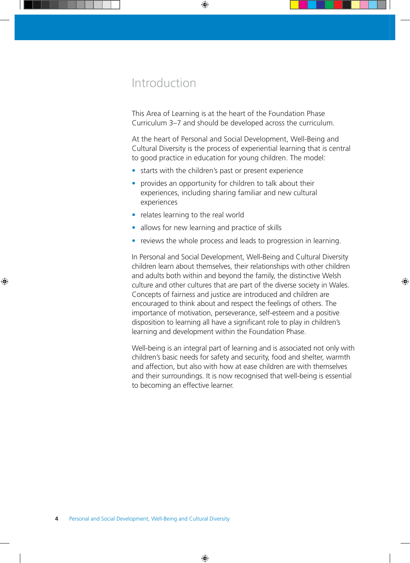## **Introduction**

This Area of Learning is at the heart of the Foundation Phase Curriculum 3–7 and should be developed across the curriculum.

At the heart of Personal and Social Development, Well-Being and Cultural Diversity is the process of experiential learning that is central to good practice in education for young children. The model:

- starts with the children's past or present experience
- provides an opportunity for children to talk about their experiences, including sharing familiar and new cultural experiences
- relates learning to the real world
- allows for new learning and practice of skills
- reviews the whole process and leads to progression in learning.

In Personal and Social Development, Well-Being and Cultural Diversity children learn about themselves, their relationships with other children and adults both within and beyond the family, the distinctive Welsh culture and other cultures that are part of the diverse society in Wales. Concepts of fairness and justice are introduced and children are encouraged to think about and respect the feelings of others. The importance of motivation, perseverance, self-esteem and a positive disposition to learning all have a significant role to play in children's learning and development within the Foundation Phase.

Well-being is an integral part of learning and is associated not only with children's basic needs for safety and security, food and shelter, warmth and affection, but also with how at ease children are with themselves and their surroundings. It is now recognised that well-being is essential to becoming an effective learner.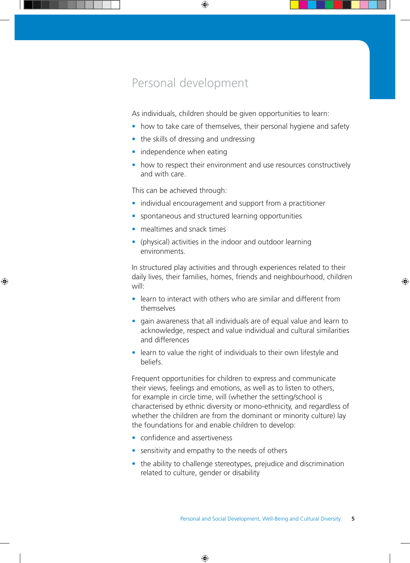## Personal development

As individuals, children should be given opportunities to learn:

- how to take care of themselves, their personal hygiene and safety
- the skills of dressing and undressing
- independence when eating
- how to respect their environment and use resources constructively and with care.

This can be achieved through:

- individual encouragement and support from a practitioner
- spontaneous and structured learning opportunities
- mealtimes and snack times
- (physical) activities in the indoor and outdoor learning environments.

In structured play activities and through experiences related to their daily lives, their families, homes, friends and neighbourhood, children will:

- $\bullet$  learn to interact with others who are similar and different from themselves
- gain awareness that all individuals are of equal value and learn to acknowledge, respect and value individual and cultural similarities and differences
- learn to value the right of individuals to their own lifestyle and beliefs.

Frequent opportunities for children to express and communicate their views, feelings and emotions, as well as to listen to others, for example in circle time, will (whether the setting/school is characterised by ethnic diversity or mono-ethnicity, and regardless of whether the children are from the dominant or minority culture) lay the foundations for and enable children to develop:

- confidence and assertiveness
- sensitivity and empathy to the needs of others
- the ability to challenge stereotypes, prejudice and discrimination related to culture, gender or disability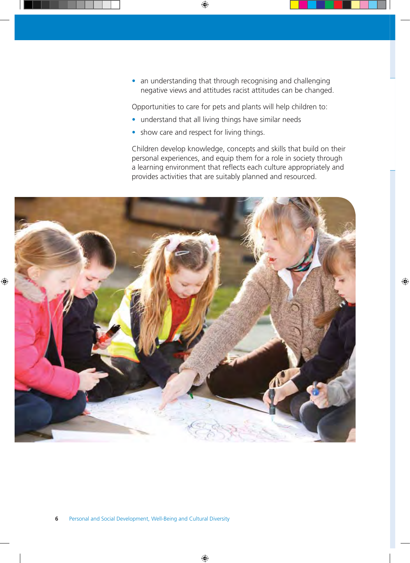• an understanding that through recognising and challenging negative views and attitudes racist attitudes can be changed.

Opportunities to care for pets and plants will help children to:

- understand that all living things have similar needs
- show care and respect for living things.

Children develop knowledge, concepts and skills that build on their personal experiences, and equip them for a role in society through a learning environment that reflects each culture appropriately and provides activities that are suitably planned and resourced.

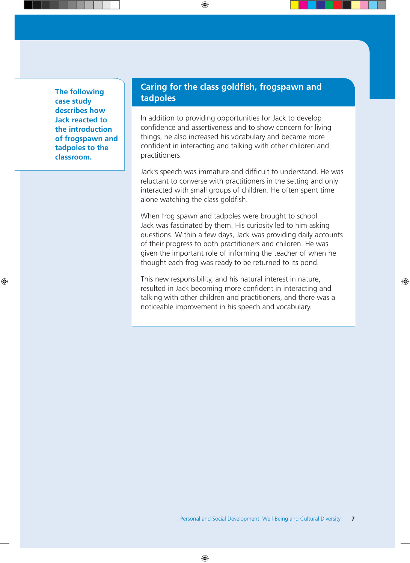**The following case study describes how Jack reacted to the introduction of frogspawn and tadpoles to the classroom.** 

## **Caring for the class goldfish, frogspawn and tadpoles**

In addition to providing opportunities for Jack to develop confidence and assertiveness and to show concern for living things, he also increased his vocabulary and became more confident in interacting and talking with other children and practitioners.

Jack's speech was immature and difficult to understand. He was reluctant to converse with practitioners in the setting and only interacted with small groups of children. He often spent time alone watching the class goldfish.

When frog spawn and tadpoles were brought to school Jack was fascinated by them. His curiosity led to him asking questions. Within a few days, Jack was providing daily accounts of their progress to both practitioners and children. He was given the important role of informing the teacher of when he thought each frog was ready to be returned to its pond.

This new responsibility, and his natural interest in nature, resulted in Jack becoming more confident in interacting and talking with other children and practitioners, and there was a noticeable improvement in his speech and vocabulary.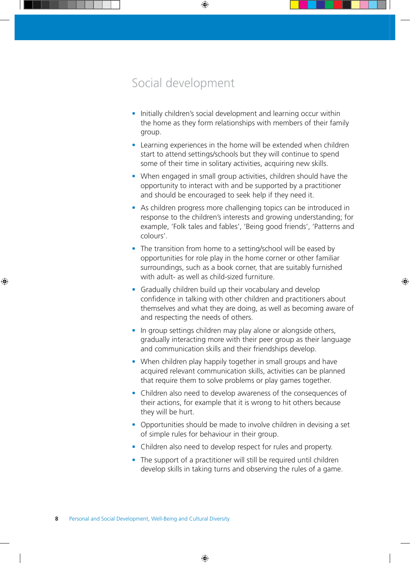## Social development

- Initially children's social development and learning occur within the home as they form relationships with members of their family group.
- Learning experiences in the home will be extended when children start to attend settings/schools but they will continue to spend some of their time in solitary activities, acquiring new skills.
- When engaged in small group activities, children should have the opportunity to interact with and be supported by a practitioner and should be encouraged to seek help if they need it.
- As children progress more challenging topics can be introduced in response to the children's interests and growing understanding; for example, 'Folk tales and fables', 'Being good friends', 'Patterns and colours'.
- The transition from home to a setting/school will be eased by opportunities for role play in the home corner or other familiar surroundings, such as a book corner, that are suitably furnished with adult- as well as child-sized furniture.
- Gradually children build up their vocabulary and develop confidence in talking with other children and practitioners about themselves and what they are doing, as well as becoming aware of and respecting the needs of others.
- In group settings children may play alone or alongside others, gradually interacting more with their peer group as their language and communication skills and their friendships develop.
- When children play happily together in small groups and have acquired relevant communication skills, activities can be planned that require them to solve problems or play games together.
- Children also need to develop awareness of the consequences of their actions, for example that it is wrong to hit others because they will be hurt.
- Opportunities should be made to involve children in devising a set of simple rules for behaviour in their group.
- Children also need to develop respect for rules and property.
- The support of a practitioner will still be required until children develop skills in taking turns and observing the rules of a game.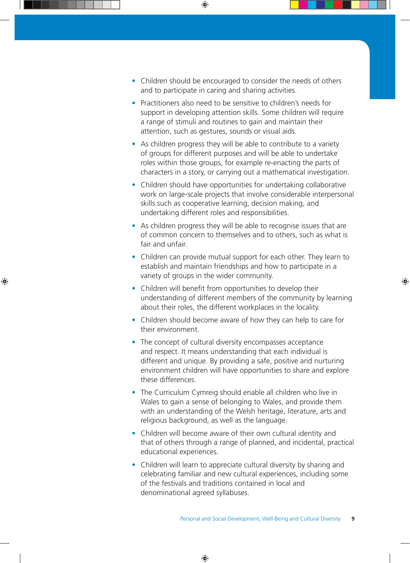- Children should be encouraged to consider the needs of others and to participate in caring and sharing activities.
- Practitioners also need to be sensitive to children's needs for support in developing attention skills. Some children will require a range of stimuli and routines to gain and maintain their attention, such as gestures, sounds or visual aids.
- As children progress they will be able to contribute to a variety of groups for different purposes and will be able to undertake roles within those groups, for example re-enacting the parts of characters in a story, or carrying out a mathematical investigation.
- Children should have opportunities for undertaking collaborative work on large-scale projects that involve considerable interpersonal skills such as cooperative learning, decision making, and undertaking different roles and responsibilities.
- As children progress they will be able to recognise issues that are of common concern to themselves and to others, such as what is fair and unfair.
- Children can provide mutual support for each other. They learn to establish and maintain friendships and how to participate in a variety of groups in the wider community.
- Children will benefit from opportunities to develop their understanding of different members of the community by learning about their roles, the different workplaces in the locality.
- Children should become aware of how they can help to care for their environment.
- The concept of cultural diversity encompasses acceptance and respect. It means understanding that each individual is different and unique. By providing a safe, positive and nurturing environment children will have opportunities to share and explore these differences.
- The Curriculum Cymreig should enable all children who live in Wales to gain a sense of belonging to Wales, and provide them with an understanding of the Welsh heritage, literature, arts and religious background, as well as the language.
- Children will become aware of their own cultural identity and that of others through a range of planned, and incidental, practical educational experiences.
- Children will learn to appreciate cultural diversity by sharing and celebrating familiar and new cultural experiences, including some of the festivals and traditions contained in local and denominational agreed syllabuses.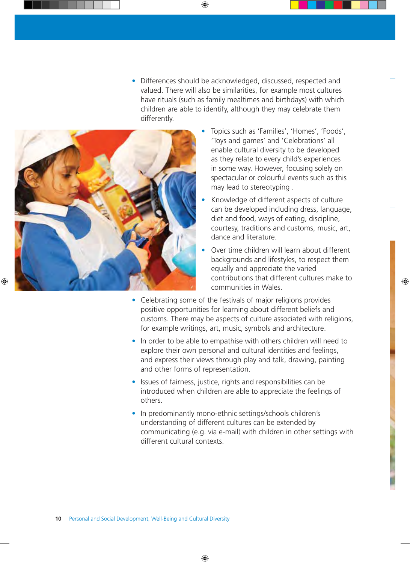• Differences should be acknowledged, discussed, respected and valued. There will also be similarities, for example most cultures have rituals (such as family mealtimes and birthdays) with which children are able to identify, although they may celebrate them differently.



- Topics such as 'Families', 'Homes', 'Foods', 'Toys and games' and 'Celebrations' all enable cultural diversity to be developed as they relate to every child's experiences in some way. However, focusing solely on spectacular or colourful events such as this may lead to stereotyping .
- Knowledge of different aspects of culture can be developed including dress, language, diet and food, ways of eating, discipline, courtesy, traditions and customs, music, art, dance and literature.
- Over time children will learn about different backgrounds and lifestyles, to respect them equally and appreciate the varied contributions that different cultures make to communities in Wales.
- Celebrating some of the festivals of major religions provides positive opportunities for learning about different beliefs and customs. There may be aspects of culture associated with religions, for example writings, art, music, symbols and architecture.
- In order to be able to empathise with others children will need to explore their own personal and cultural identities and feelings, and express their views through play and talk, drawing, painting and other forms of representation.
- Issues of fairness, justice, rights and responsibilities can be introduced when children are able to appreciate the feelings of others.
- In predominantly mono-ethnic settings/schools children's understanding of different cultures can be extended by communicating (e.g. via e-mail) with children in other settings with different cultural contexts.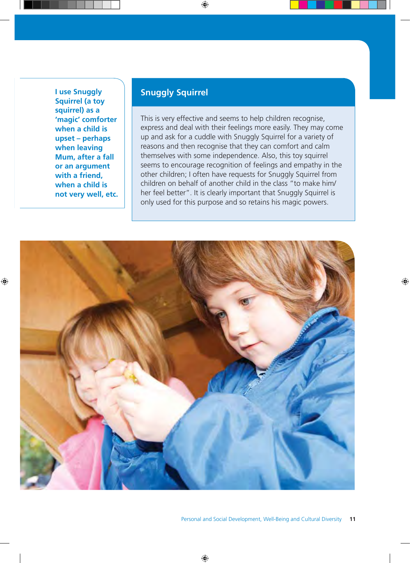**I use Snuggly Squirrel (a toy squirrel) as a 'magic' comforter when a child is upset – perhaps when leaving Mum, after a fall or an argument with a friend, when a child is not very well, etc.** 

### **Snuggly Squirrel**

This is very effective and seems to help children recognise, express and deal with their feelings more easily. They may come up and ask for a cuddle with Snuggly Squirrel for a variety of reasons and then recognise that they can comfort and calm themselves with some independence. Also, this toy squirrel seems to encourage recognition of feelings and empathy in the other children; I often have requests for Snuggly Squirrel from children on behalf of another child in the class "to make him/ her feel better". It is clearly important that Snuggly Squirrel is only used for this purpose and so retains his magic powers.

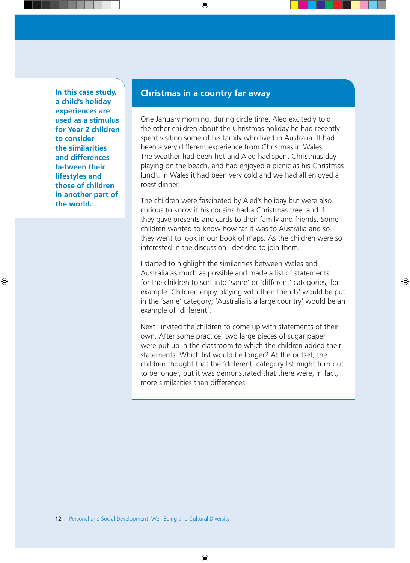**In this case study, a child's holiday experiences are used as a stimulus for Year 2 children to consider the similarities and differences between their lifestyles and those of children in another part of the world.** 

### **Christmas in a country far away**

One January morning, during circle time, Aled excitedly told the other children about the Christmas holiday he had recently spent visiting some of his family who lived in Australia. It had been a very different experience from Christmas in Wales. The weather had been hot and Aled had spent Christmas day playing on the beach, and had enjoyed a picnic as his Christmas lunch. In Wales it had been very cold and we had all enjoyed a roast dinner.

The children were fascinated by Aled's holiday but were also curious to know if his cousins had a Christmas tree, and if they gave presents and cards to their family and friends. Some children wanted to know how far it was to Australia and so they went to look in our book of maps. As the children were so interested in the discussion I decided to join them.

I started to highlight the similarities between Wales and Australia as much as possible and made a list of statements for the children to sort into 'same' or 'different' categories, for example 'Children enjoy playing with their friends' would be put in the 'same' category; 'Australia is a large country' would be an example of 'different'.

Next I invited the children to come up with statements of their own. After some practice, two large pieces of sugar paper were put up in the classroom to which the children added their statements. Which list would be longer? At the outset, the children thought that the 'different' category list might turn out to be longer, but it was demonstrated that there were, in fact, more similarities than differences.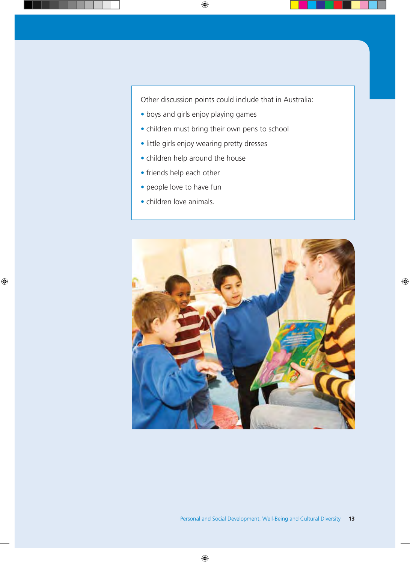Other discussion points could include that in Australia:

- boys and girls enjoy playing games
- children must bring their own pens to school
- little girls enjoy wearing pretty dresses
- children help around the house
- friends help each other
- people love to have fun
- children love animals.

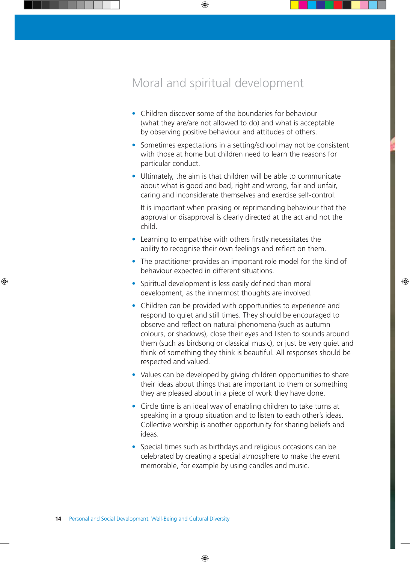## Moral and spiritual development

- Children discover some of the boundaries for behaviour (what they are/are not allowed to do) and what is acceptable by observing positive behaviour and attitudes of others.
- Sometimes expectations in a setting/school may not be consistent with those at home but children need to learn the reasons for particular conduct.
- Ultimately, the aim is that children will be able to communicate about what is good and bad, right and wrong, fair and unfair, caring and inconsiderate themselves and exercise self-control.

It is important when praising or reprimanding behaviour that the approval or disapproval is clearly directed at the act and not the child.

- Learning to empathise with others firstly necessitates the ability to recognise their own feelings and reflect on them.
- The practitioner provides an important role model for the kind of behaviour expected in different situations.
- Spiritual development is less easily defined than moral development, as the innermost thoughts are involved.
- Children can be provided with opportunities to experience and respond to quiet and still times. They should be encouraged to observe and reflect on natural phenomena (such as autumn colours, or shadows), close their eyes and listen to sounds around them (such as birdsong or classical music), or just be very quiet and think of something they think is beautiful. All responses should be respected and valued.
- Values can be developed by giving children opportunities to share their ideas about things that are important to them or something they are pleased about in a piece of work they have done.
- Circle time is an ideal way of enabling children to take turns at speaking in a group situation and to listen to each other's ideas. Collective worship is another opportunity for sharing beliefs and ideas.
- Special times such as birthdays and religious occasions can be celebrated by creating a special atmosphere to make the event memorable, for example by using candles and music.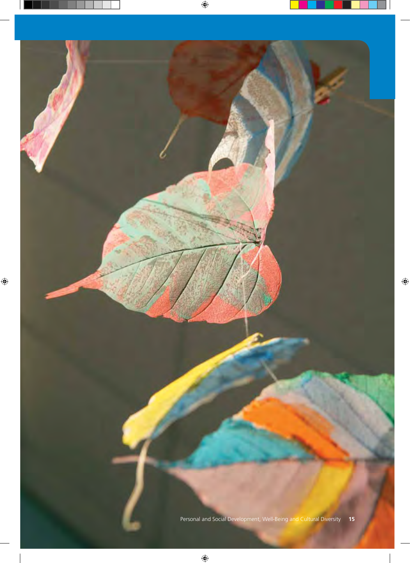Personal and Social Development, Well-Being and Cultural Diversity **15**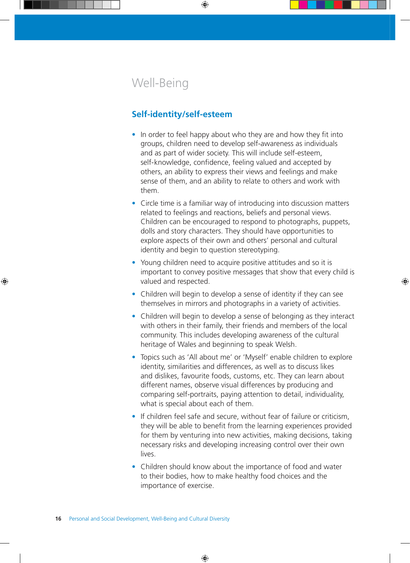## Well-Being

### **Self-identity/self-esteem**

- In order to feel happy about who they are and how they fit into groups, children need to develop self-awareness as individuals and as part of wider society. This will include self-esteem, self-knowledge, confidence, feeling valued and accepted by others, an ability to express their views and feelings and make sense of them, and an ability to relate to others and work with them.
- Circle time is a familiar way of introducing into discussion matters related to feelings and reactions, beliefs and personal views. Children can be encouraged to respond to photographs, puppets, dolls and story characters. They should have opportunities to explore aspects of their own and others' personal and cultural identity and begin to question stereotyping.
- Young children need to acquire positive attitudes and so it is important to convey positive messages that show that every child is valued and respected.
- Children will begin to develop a sense of identity if they can see themselves in mirrors and photographs in a variety of activities.
- Children will begin to develop a sense of belonging as they interact with others in their family, their friends and members of the local community. This includes developing awareness of the cultural heritage of Wales and beginning to speak Welsh.
- Topics such as 'All about me' or 'Myself' enable children to explore identity, similarities and differences, as well as to discuss likes and dislikes, favourite foods, customs, etc. They can learn about different names, observe visual differences by producing and comparing self-portraits, paying attention to detail, individuality, what is special about each of them.
- If children feel safe and secure, without fear of failure or criticism, they will be able to benefit from the learning experiences provided for them by venturing into new activities, making decisions, taking necessary risks and developing increasing control over their own lives.
- Children should know about the importance of food and water to their bodies, how to make healthy food choices and the importance of exercise.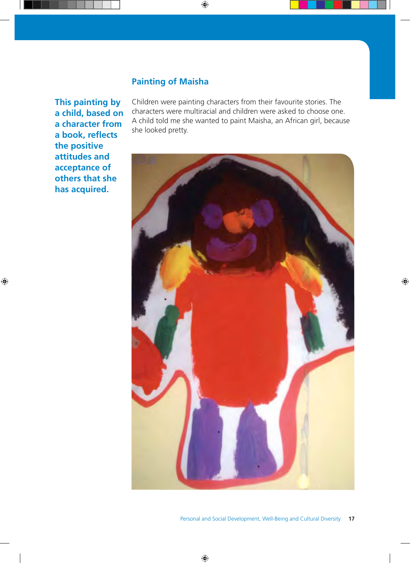## **Painting of Maisha**

**This painting by a child, based on a character from a book, reflects the positive attitudes and acceptance of others that she has acquired.** 

Children were painting characters from their favourite stories. The characters were multiracial and children were asked to choose one. A child told me she wanted to paint Maisha, an African girl, because she looked pretty.

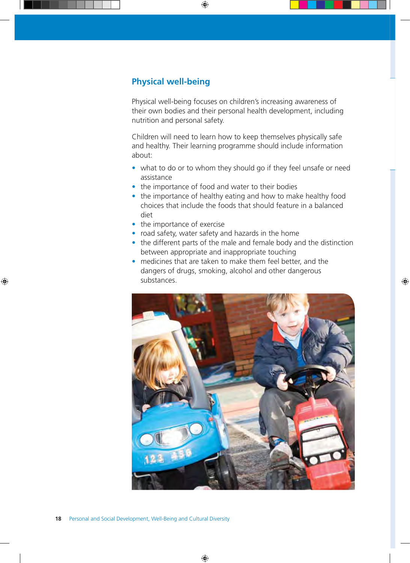## **Physical well-being**

Physical well-being focuses on children's increasing awareness of their own bodies and their personal health development, including nutrition and personal safety.

Children will need to learn how to keep themselves physically safe and healthy. Their learning programme should include information about:

- what to do or to whom they should go if they feel unsafe or need assistance
- the importance of food and water to their bodies
- the importance of healthy eating and how to make healthy food choices that include the foods that should feature in a balanced diet
- the importance of exercise
- road safety, water safety and hazards in the home
- the different parts of the male and female body and the distinction between appropriate and inappropriate touching
- medicines that are taken to make them feel better, and the dangers of drugs, smoking, alcohol and other dangerous substances.

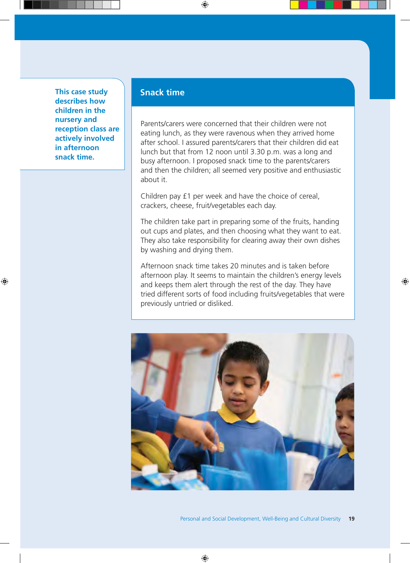**This case study describes how children in the nursery and reception class are actively involved in afternoon snack time.** 

### **Snack time**

Parents/carers were concerned that their children were not eating lunch, as they were ravenous when they arrived home after school. I assured parents/carers that their children did eat lunch but that from 12 noon until 3.30 p.m. was a long and busy afternoon. I proposed snack time to the parents/carers and then the children; all seemed very positive and enthusiastic about it.

Children pay £1 per week and have the choice of cereal, crackers, cheese, fruit/vegetables each day.

The children take part in preparing some of the fruits, handing out cups and plates, and then choosing what they want to eat. They also take responsibility for clearing away their own dishes by washing and drying them.

Afternoon snack time takes 20 minutes and is taken before afternoon play. It seems to maintain the children's energy levels and keeps them alert through the rest of the day. They have tried different sorts of food including fruits/vegetables that were previously untried or disliked.

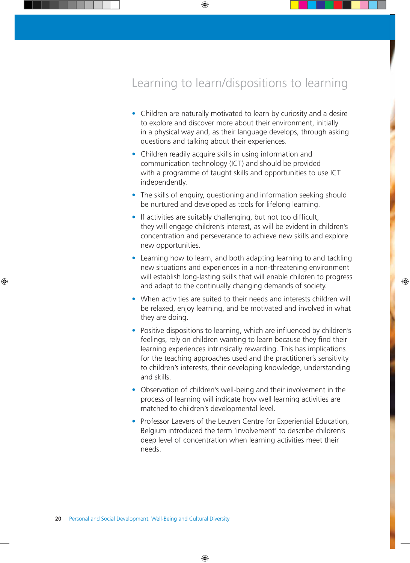## Learning to learn/dispositions to learning

- Children are naturally motivated to learn by curiosity and a desire to explore and discover more about their environment, initially in a physical way and, as their language develops, through asking questions and talking about their experiences.
- Children readily acquire skills in using information and communication technology (ICT) and should be provided with a programme of taught skills and opportunities to use ICT independently.
- The skills of enquiry, questioning and information seeking should be nurtured and developed as tools for lifelong learning.
- If activities are suitably challenging, but not too difficult, they will engage children's interest, as will be evident in children's concentration and perseverance to achieve new skills and explore new opportunities.
- Learning how to learn, and both adapting learning to and tackling new situations and experiences in a non-threatening environment will establish long-lasting skills that will enable children to progress and adapt to the continually changing demands of society.
- When activities are suited to their needs and interests children will be relaxed, enjoy learning, and be motivated and involved in what they are doing.
- Positive dispositions to learning, which are influenced by children's feelings, rely on children wanting to learn because they find their learning experiences intrinsically rewarding. This has implications for the teaching approaches used and the practitioner's sensitivity to children's interests, their developing knowledge, understanding and skills.
- Observation of children's well-being and their involvement in the process of learning will indicate how well learning activities are matched to children's developmental level.
- Professor Laevers of the Leuven Centre for Experiential Education, Belgium introduced the term 'involvement' to describe children's deep level of concentration when learning activities meet their needs.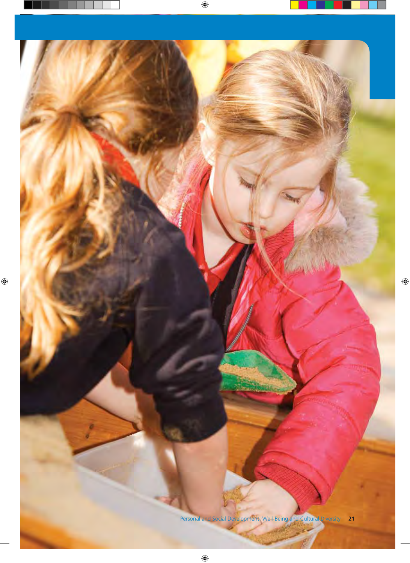Personal and Social Development, Well-Being and Cultural Diversity **21**

en de la familie de la familie de la familie de la familie de la familie de la familie de la familie de la fami<br>Le familie de la familie de la familie de la familie de la familie de la familie de la familie de la familie d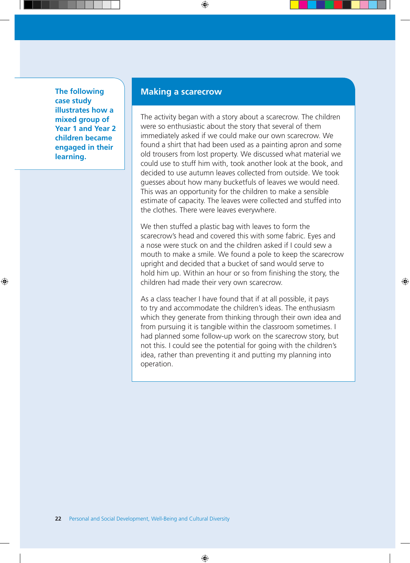**The following case study illustrates how a mixed group of Year 1 and Year 2 children became engaged in their learning.** 

### **Making a scarecrow**

The activity began with a story about a scarecrow. The children were so enthusiastic about the story that several of them immediately asked if we could make our own scarecrow. We found a shirt that had been used as a painting apron and some old trousers from lost property. We discussed what material we could use to stuff him with, took another look at the book, and decided to use autumn leaves collected from outside. We took guesses about how many bucketfuls of leaves we would need. This was an opportunity for the children to make a sensible estimate of capacity. The leaves were collected and stuffed into the clothes. There were leaves everywhere.

We then stuffed a plastic bag with leaves to form the scarecrow's head and covered this with some fabric. Eyes and a nose were stuck on and the children asked if I could sew a mouth to make a smile. We found a pole to keep the scarecrow upright and decided that a bucket of sand would serve to hold him up. Within an hour or so from finishing the story, the children had made their very own scarecrow.

As a class teacher I have found that if at all possible, it pays to try and accommodate the children's ideas. The enthusiasm which they generate from thinking through their own idea and from pursuing it is tangible within the classroom sometimes. I had planned some follow-up work on the scarecrow story, but not this. I could see the potential for going with the children's idea, rather than preventing it and putting my planning into operation.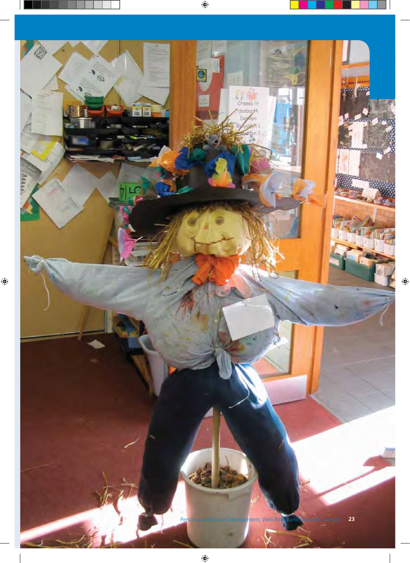Personal and Social Development, Well-Being and Cultural Diversity **23** 

U

O

dosbarth b

**AND** 

物

**AAAAA** 

蓝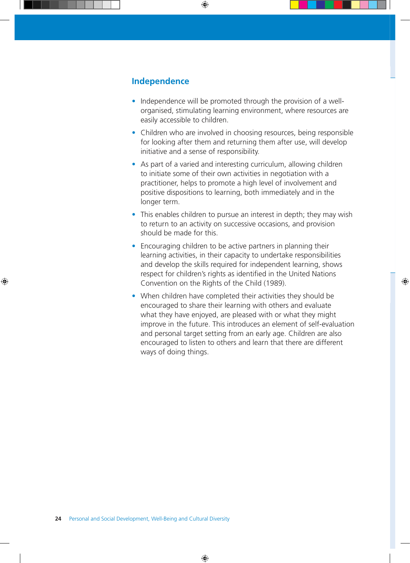## **Independence**

- Independence will be promoted through the provision of a wellorganised, stimulating learning environment, where resources are easily accessible to children.
- Children who are involved in choosing resources, being responsible for looking after them and returning them after use, will develop initiative and a sense of responsibility.
- As part of a varied and interesting curriculum, allowing children to initiate some of their own activities in negotiation with a practitioner, helps to promote a high level of involvement and positive dispositions to learning, both immediately and in the longer term.
- This enables children to pursue an interest in depth; they may wish to return to an activity on successive occasions, and provision should be made for this.
- Encouraging children to be active partners in planning their learning activities, in their capacity to undertake responsibilities and develop the skills required for independent learning, shows respect for children's rights as identified in the United Nations Convention on the Rights of the Child (1989).
- When children have completed their activities they should be encouraged to share their learning with others and evaluate what they have enjoyed, are pleased with or what they might improve in the future. This introduces an element of self-evaluation and personal target setting from an early age. Children are also encouraged to listen to others and learn that there are different ways of doing things.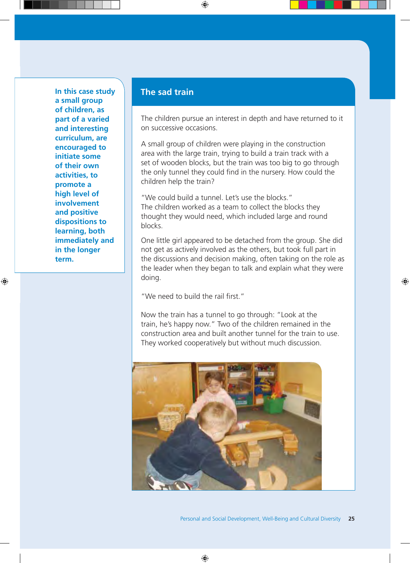**In this case study a small group of children, as part of a varied and interesting curriculum, are encouraged to initiate some of their own activities, to promote a high level of involvement and positive dispositions to learning, both immediately and in the longer term.** 

## **The sad train**

The children pursue an interest in depth and have returned to it on successive occasions.

A small group of children were playing in the construction area with the large train, trying to build a train track with a set of wooden blocks, but the train was too big to go through the only tunnel they could find in the nursery. How could the children help the train?

"We could build a tunnel. Let's use the blocks." The children worked as a team to collect the blocks they thought they would need, which included large and round blocks.

**I** doing. One little girl appeared to be detached from the group. She did not get as actively involved as the others, but took full part in the discussions and decision making, often taking on the role as the leader when they began to talk and explain what they were

"We need to build the rail first."

Now the train has a tunnel to go through: "Look at the train, he's happy now." Two of the children remained in the construction area and built another tunnel for the train to use. They worked cooperatively but without much discussion.

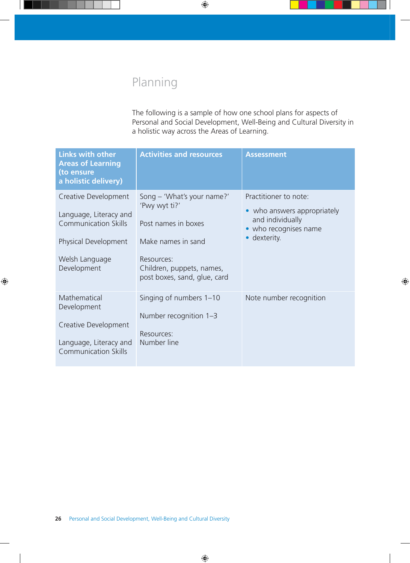## Planning

The following is a sample of how one school plans for aspects of Personal and Social Development, Well-Being and Cultural Diversity in a holistic way across the Areas of Learning.

| <b>Links with other</b><br><b>Areas of Learning</b><br>(to ensure<br>a holistic delivery)                                              | <b>Activities and resources</b>                                                                                                                                     | <b>Assessment</b>                                                                                               |
|----------------------------------------------------------------------------------------------------------------------------------------|---------------------------------------------------------------------------------------------------------------------------------------------------------------------|-----------------------------------------------------------------------------------------------------------------|
| Creative Development<br>Language, Literacy and<br><b>Communication Skills</b><br>Physical Development<br>Welsh Language<br>Development | Song – 'What's your name?'<br>'Pwy wyt ti?'<br>Post names in boxes<br>Make names in sand<br>Resources:<br>Children, puppets, names,<br>post boxes, sand, glue, card | Practitioner to note:<br>• who answers appropriately<br>and individually<br>• who recognises name<br>dexterity. |
| Mathematical<br>Development<br>Creative Development<br>Language, Literacy and<br><b>Communication Skills</b>                           | Singing of numbers 1-10<br>Number recognition 1-3<br>Resources:<br>Number line                                                                                      | Note number recognition                                                                                         |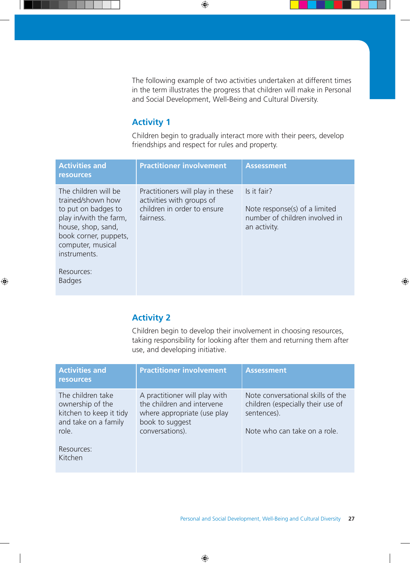The following example of two activities undertaken at different times in the term illustrates the progress that children will make in Personal and Social Development, Well-Being and Cultural Diversity.

## **Activity 1**

Children begin to gradually interact more with their peers, develop friendships and respect for rules and property.

| <b>Activities and</b><br>resources                                                                                                                                                                            | <b>Practitioner involvement</b>                                                                           | <b>Assessment</b>                                                                              |
|---------------------------------------------------------------------------------------------------------------------------------------------------------------------------------------------------------------|-----------------------------------------------------------------------------------------------------------|------------------------------------------------------------------------------------------------|
| The children will be<br>trained/shown how<br>to put on badges to<br>play in/with the farm,<br>house, shop, sand,<br>book corner, puppets,<br>computer, musical<br>instruments.<br>Resources:<br><b>Badges</b> | Practitioners will play in these<br>activities with groups of<br>children in order to ensure<br>fairness. | Is it fair?<br>Note response(s) of a limited<br>number of children involved in<br>an activity. |

## **Activity 2**

Children begin to develop their involvement in choosing resources, taking responsibility for looking after them and returning them after use, and developing initiative.

| <b>Activities and</b><br><b>resources</b>                                                         | <b>Practitioner involvement</b>                                                                                                  | <b>Assessment</b>                                                                                                     |
|---------------------------------------------------------------------------------------------------|----------------------------------------------------------------------------------------------------------------------------------|-----------------------------------------------------------------------------------------------------------------------|
| The children take<br>ownership of the<br>kitchen to keep it tidy<br>and take on a family<br>role. | A practitioner will play with<br>the children and intervene<br>where appropriate (use play<br>book to suggest<br>conversations). | Note conversational skills of the<br>children (especially their use of<br>sentences).<br>Note who can take on a role. |
| Resources:<br>Kitchen                                                                             |                                                                                                                                  |                                                                                                                       |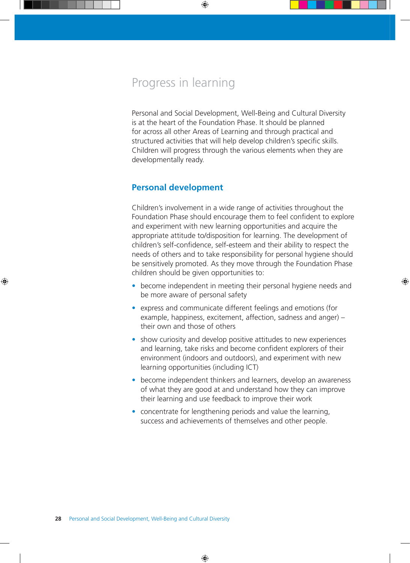## Progress in learning

Personal and Social Development, Well-Being and Cultural Diversity is at the heart of the Foundation Phase. It should be planned for across all other Areas of Learning and through practical and structured activities that will help develop children's specific skills. Children will progress through the various elements when they are developmentally ready.

### **Personal development**

Children's involvement in a wide range of activities throughout the Foundation Phase should encourage them to feel confident to explore and experiment with new learning opportunities and acquire the appropriate attitude to/disposition for learning. The development of children's self-confidence, self-esteem and their ability to respect the needs of others and to take responsibility for personal hygiene should be sensitively promoted. As they move through the Foundation Phase children should be given opportunities to:

- become independent in meeting their personal hygiene needs and be more aware of personal safety
- express and communicate different feelings and emotions (for example, happiness, excitement, affection, sadness and anger) – their own and those of others
- show curiosity and develop positive attitudes to new experiences and learning, take risks and become confident explorers of their environment (indoors and outdoors), and experiment with new learning opportunities (including ICT)
- become independent thinkers and learners, develop an awareness of what they are good at and understand how they can improve their learning and use feedback to improve their work
- concentrate for lengthening periods and value the learning, success and achievements of themselves and other people.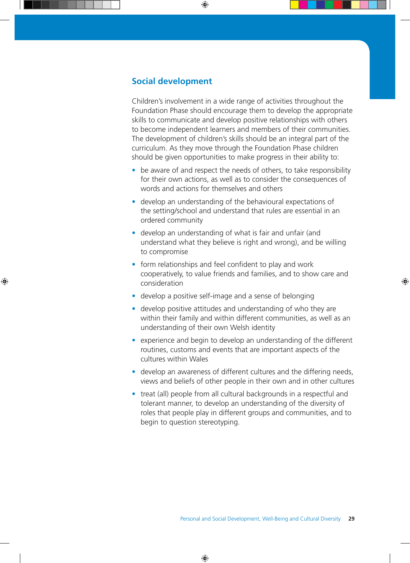### **Social development**

Children's involvement in a wide range of activities throughout the Foundation Phase should encourage them to develop the appropriate skills to communicate and develop positive relationships with others to become independent learners and members of their communities. The development of children's skills should be an integral part of the curriculum. As they move through the Foundation Phase children should be given opportunities to make progress in their ability to:

- be aware of and respect the needs of others, to take responsibility for their own actions, as well as to consider the consequences of words and actions for themselves and others
- develop an understanding of the behavioural expectations of the setting/school and understand that rules are essential in an ordered community
- develop an understanding of what is fair and unfair (and understand what they believe is right and wrong), and be willing to compromise
- form relationships and feel confident to play and work cooperatively, to value friends and families, and to show care and consideration
- develop a positive self-image and a sense of belonging
- develop positive attitudes and understanding of who they are within their family and within different communities, as well as an understanding of their own Welsh identity
- experience and begin to develop an understanding of the different routines, customs and events that are important aspects of the cultures within Wales
- develop an awareness of different cultures and the differing needs, views and beliefs of other people in their own and in other cultures
- treat (all) people from all cultural backgrounds in a respectful and tolerant manner, to develop an understanding of the diversity of roles that people play in different groups and communities, and to begin to question stereotyping.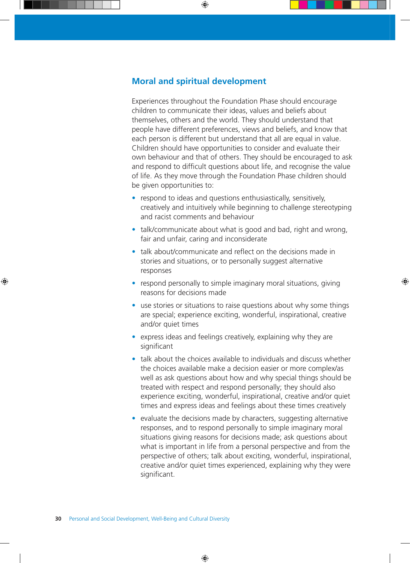### **Moral and spiritual development**

Experiences throughout the Foundation Phase should encourage children to communicate their ideas, values and beliefs about themselves, others and the world. They should understand that people have different preferences, views and beliefs, and know that each person is different but understand that all are equal in value. Children should have opportunities to consider and evaluate their own behaviour and that of others. They should be encouraged to ask and respond to difficult questions about life, and recognise the value of life. As they move through the Foundation Phase children should be given opportunities to:

- respond to ideas and questions enthusiastically, sensitively, creatively and intuitively while beginning to challenge stereotyping and racist comments and behaviour
- talk/communicate about what is good and bad, right and wrong, fair and unfair, caring and inconsiderate
- talk about/communicate and reflect on the decisions made in stories and situations, or to personally suggest alternative responses
- respond personally to simple imaginary moral situations, giving reasons for decisions made
- use stories or situations to raise questions about why some things are special; experience exciting, wonderful, inspirational, creative and/or quiet times
- express ideas and feelings creatively, explaining why they are significant
- talk about the choices available to individuals and discuss whether the choices available make a decision easier or more complex/as well as ask questions about how and why special things should be treated with respect and respond personally; they should also experience exciting, wonderful, inspirational, creative and/or quiet times and express ideas and feelings about these times creatively
- evaluate the decisions made by characters, suggesting alternative responses, and to respond personally to simple imaginary moral situations giving reasons for decisions made; ask questions about what is important in life from a personal perspective and from the perspective of others; talk about exciting, wonderful, inspirational, creative and/or quiet times experienced, explaining why they were significant.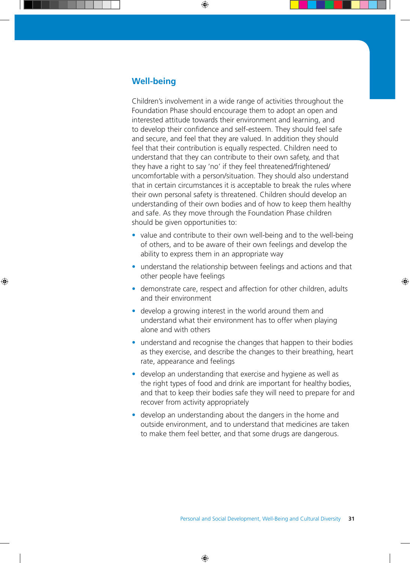### **Well-being**

Children's involvement in a wide range of activities throughout the Foundation Phase should encourage them to adopt an open and interested attitude towards their environment and learning, and to develop their confidence and self-esteem. They should feel safe and secure, and feel that they are valued. In addition they should feel that their contribution is equally respected. Children need to understand that they can contribute to their own safety, and that they have a right to say 'no' if they feel threatened/frightened/ uncomfortable with a person/situation. They should also understand that in certain circumstances it is acceptable to break the rules where their own personal safety is threatened. Children should develop an understanding of their own bodies and of how to keep them healthy and safe. As they move through the Foundation Phase children should be given opportunities to:

- value and contribute to their own well-being and to the well-being of others, and to be aware of their own feelings and develop the ability to express them in an appropriate way
- understand the relationship between feelings and actions and that other people have feelings
- demonstrate care, respect and affection for other children, adults and their environment
- develop a growing interest in the world around them and understand what their environment has to offer when playing alone and with others
- understand and recognise the changes that happen to their bodies as they exercise, and describe the changes to their breathing, heart rate, appearance and feelings
- develop an understanding that exercise and hygiene as well as the right types of food and drink are important for healthy bodies, and that to keep their bodies safe they will need to prepare for and recover from activity appropriately
- develop an understanding about the dangers in the home and outside environment, and to understand that medicines are taken to make them feel better, and that some drugs are dangerous.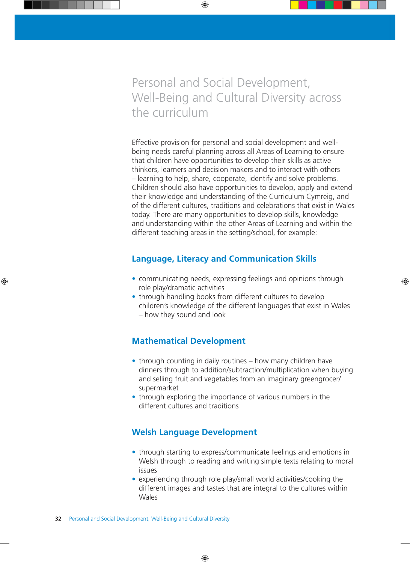## Personal and Social Development, Well-Being and Cultural Diversity across the curriculum

Effective provision for personal and social development and wellbeing needs careful planning across all Areas of Learning to ensure that children have opportunities to develop their skills as active thinkers, learners and decision makers and to interact with others – learning to help, share, cooperate, identify and solve problems. Children should also have opportunities to develop, apply and extend their knowledge and understanding of the Curriculum Cymreig, and of the different cultures, traditions and celebrations that exist in Wales today. There are many opportunities to develop skills, knowledge and understanding within the other Areas of Learning and within the different teaching areas in the setting/school, for example:

### **Language, Literacy and Communication Skills**

- communicating needs, expressing feelings and opinions through role play/dramatic activities
- through handling books from different cultures to develop children's knowledge of the different languages that exist in Wales – how they sound and look

### **Mathematical Development**

- $\bullet$  through counting in daily routines how many children have dinners through to addition/subtraction/multiplication when buying and selling fruit and vegetables from an imaginary greengrocer/ supermarket
- through exploring the importance of various numbers in the different cultures and traditions

### **Welsh Language Development**

- through starting to express/communicate feelings and emotions in Welsh through to reading and writing simple texts relating to moral issues
- experiencing through role play/small world activities/cooking the different images and tastes that are integral to the cultures within **Wales**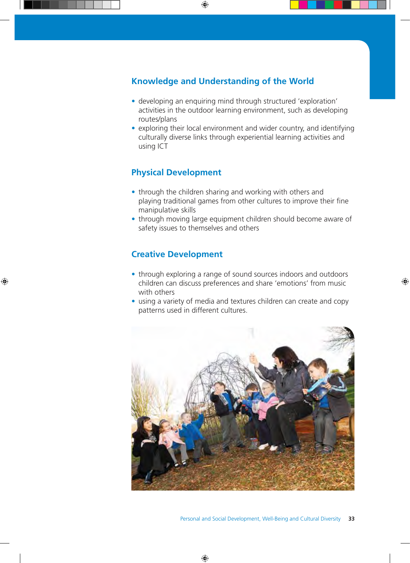## **Knowledge and Understanding of the World**

- developing an enquiring mind through structured 'exploration' activities in the outdoor learning environment, such as developing routes/plans
- exploring their local environment and wider country, and identifying culturally diverse links through experiential learning activities and using ICT

## **Physical Development**

- through the children sharing and working with others and playing traditional games from other cultures to improve their fine manipulative skills
- through moving large equipment children should become aware of safety issues to themselves and others

### **Creative Development**

- through exploring a range of sound sources indoors and outdoors children can discuss preferences and share 'emotions' from music with others
- using a variety of media and textures children can create and copy patterns used in different cultures.

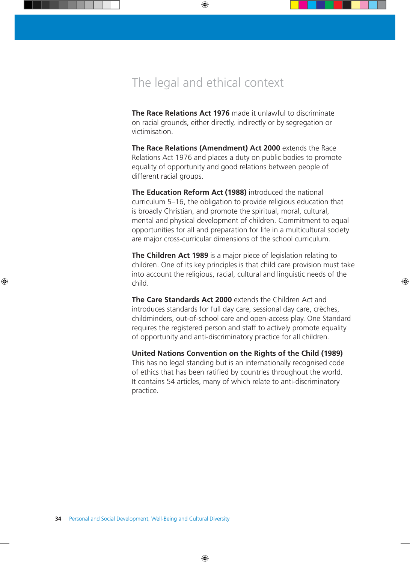## The legal and ethical context

**The Race Relations Act 1976** made it unlawful to discriminate on racial grounds, either directly, indirectly or by segregation or victimisation.

**The Race Relations (Amendment) Act 2000** extends the Race Relations Act 1976 and places a duty on public bodies to promote equality of opportunity and good relations between people of different racial groups.

**The Education Reform Act (1988)** introduced the national curriculum 5–16, the obligation to provide religious education that is broadly Christian, and promote the spiritual, moral, cultural, mental and physical development of children. Commitment to equal opportunities for all and preparation for life in a multicultural society are major cross-curricular dimensions of the school curriculum.

**The Children Act 1989** is a major piece of legislation relating to children. One of its key principles is that child care provision must take into account the religious, racial, cultural and linguistic needs of the child.

**The Care Standards Act 2000** extends the Children Act and introduces standards for full day care, sessional day care, crèches, childminders, out-of-school care and open-access play. One Standard requires the registered person and staff to actively promote equality of opportunity and anti-discriminatory practice for all children.

**United Nations Convention on the Rights of the Child (1989)**  This has no legal standing but is an internationally recognised code of ethics that has been ratified by countries throughout the world. It contains 54 articles, many of which relate to anti-discriminatory practice.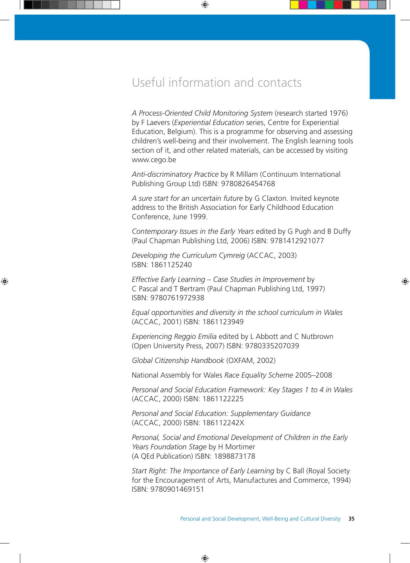## Useful information and contacts

*A Process-Oriented Child Monitoring System* (research started 1976) by F Laevers (*Experiential Education* series, Centre for Experiential Education, Belgium). This is a programme for observing and assessing children's well-being and their involvement. The English learning tools section of it, and other related materials, can be accessed by visiting www.cego.be

*Anti-discriminatory Practice* by R Millam (Continuum International Publishing Group Ltd) ISBN: 9780826454768

*A sure start for an uncertain future* by G Claxton. Invited keynote address to the British Association for Early Childhood Education Conference, June 1999.

*Contemporary Issues in the Early Years* edited by G Pugh and B Duffy (Paul Chapman Publishing Ltd, 2006) ISBN: 9781412921077

*Developing the Curriculum Cymreig* (ACCAC, 2003) ISBN: 1861125240

*Effective Early Learning – Case Studies in Improvement* by C Pascal and T Bertram (Paul Chapman Publishing Ltd, 1997) ISBN: 9780761972938

*Equal opportunities and diversity in the school curriculum in Wales*  (ACCAC, 2001) ISBN: 1861123949

*Experiencing Reggio Emilia* edited by L Abbott and C Nutbrown (Open University Press, 2007) ISBN: 9780335207039

*Global Citizenship Handbook* (OXFAM, 2002)

National Assembly for Wales *Race Equality Scheme* 2005–2008

*Personal and Social Education Framework: Key Stages 1 to 4 in Wales*  (ACCAC, 2000) ISBN: 1861122225

*Personal and Social Education: Supplementary Guidance*  (ACCAC, 2000) ISBN: 186112242X

*Personal, Social and Emotional Development of Children in the Early Years Foundation Stage* by H Mortimer (A QEd Publication) ISBN: 1898873178

*Start Right: The Importance of Early Learning* by C Ball (Royal Society for the Encouragement of Arts, Manufactures and Commerce, 1994) ISBN: 9780901469151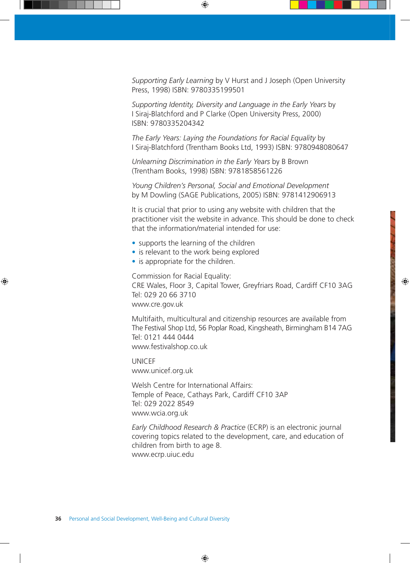*Supporting Early Learning* by V Hurst and J Joseph (Open University Press, 1998) ISBN: 9780335199501

*Supporting Identity, Diversity and Language in the Early Years* by I Siraj-Blatchford and P Clarke (Open University Press, 2000) ISBN: 9780335204342

*The Early Years: Laying the Foundations for Racial Equality* by I Siraj-Blatchford (Trentham Books Ltd, 1993) ISBN: 9780948080647

*Unlearning Discrimination in the Early Years* by B Brown (Trentham Books, 1998) ISBN: 9781858561226

*Young Children's Personal, Social and Emotional Development*  by M Dowling (SAGE Publications, 2005) ISBN: 9781412906913

It is crucial that prior to using any website with children that the practitioner visit the website in advance. This should be done to check that the information/material intended for use:

- supports the learning of the children
- is relevant to the work being explored
- is appropriate for the children.

Commission for Racial Equality: CRE Wales, Floor 3, Capital Tower, Greyfriars Road, Cardiff CF10 3AG Tel: 029 20 66 3710 www.cre.gov.uk

Multifaith, multicultural and citizenship resources are available from The Festival Shop Ltd, 56 Poplar Road, Kingsheath, Birmingham B14 7AG Tel: 0121 444 0444 www.festivalshop.co.uk

UNICEF www.unicef.org.uk

Welsh Centre for International Affairs: Temple of Peace, Cathays Park, Cardiff CF10 3AP Tel: 029 2022 8549 www.wcia.org.uk

*Early Childhood Research & Practice* (ECRP) is an electronic journal covering topics related to the development, care, and education of children from birth to age 8. www.ecrp.uiuc.edu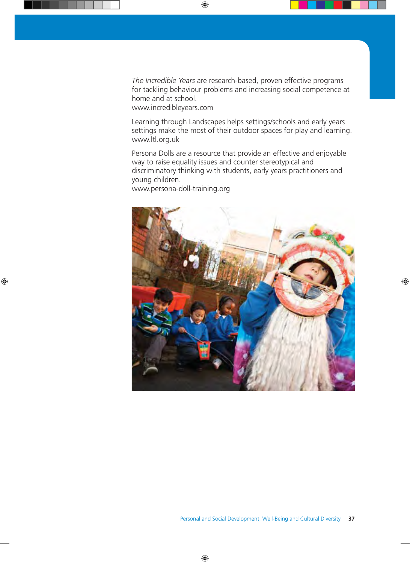*The Incredible Years* are research-based, proven effective programs for tackling behaviour problems and increasing social competence at home and at school.

www.incredibleyears.com

Learning through Landscapes helps settings/schools and early years settings make the most of their outdoor spaces for play and learning. www.ltl.org.uk

Persona Dolls are a resource that provide an effective and enjoyable way to raise equality issues and counter stereotypical and discriminatory thinking with students, early years practitioners and young children.

www.persona-doll-training.org

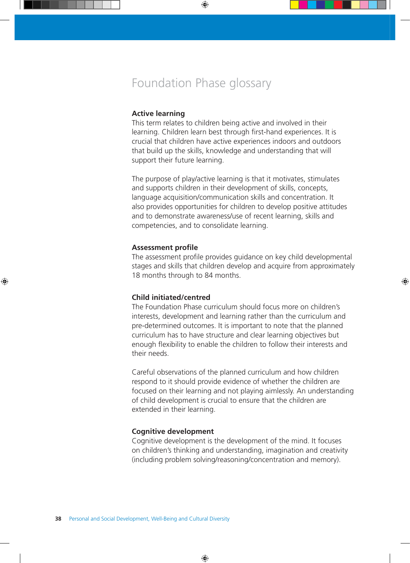## Foundation Phase glossary

#### **Active learning**

This term relates to children being active and involved in their learning. Children learn best through first-hand experiences. It is crucial that children have active experiences indoors and outdoors that build up the skills, knowledge and understanding that will support their future learning.

The purpose of play/active learning is that it motivates, stimulates and supports children in their development of skills, concepts, language acquisition/communication skills and concentration. It also provides opportunities for children to develop positive attitudes and to demonstrate awareness/use of recent learning, skills and competencies, and to consolidate learning.

#### **Assessment profile**

The assessment profile provides guidance on key child developmental stages and skills that children develop and acquire from approximately 18 months through to 84 months.

#### **Child initiated/centred**

The Foundation Phase curriculum should focus more on children's interests, development and learning rather than the curriculum and pre-determined outcomes. It is important to note that the planned curriculum has to have structure and clear learning objectives but enough flexibility to enable the children to follow their interests and their needs.

Careful observations of the planned curriculum and how children respond to it should provide evidence of whether the children are focused on their learning and not playing aimlessly. An understanding of child development is crucial to ensure that the children are extended in their learning.

#### **Cognitive development**

Cognitive development is the development of the mind. It focuses on children's thinking and understanding, imagination and creativity (including problem solving/reasoning/concentration and memory).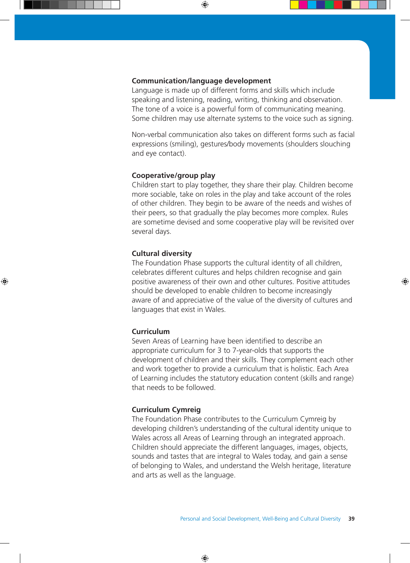#### **Communication/language development**

Language is made up of different forms and skills which include speaking and listening, reading, writing, thinking and observation. The tone of a voice is a powerful form of communicating meaning. Some children may use alternate systems to the voice such as signing.

Non-verbal communication also takes on different forms such as facial expressions (smiling), gestures/body movements (shoulders slouching and eye contact).

#### **Cooperative/group play**

Children start to play together, they share their play. Children become more sociable, take on roles in the play and take account of the roles of other children. They begin to be aware of the needs and wishes of their peers, so that gradually the play becomes more complex. Rules are sometime devised and some cooperative play will be revisited over several days.

#### **Cultural diversity**

The Foundation Phase supports the cultural identity of all children, celebrates different cultures and helps children recognise and gain positive awareness of their own and other cultures. Positive attitudes should be developed to enable children to become increasingly aware of and appreciative of the value of the diversity of cultures and languages that exist in Wales.

#### **Curriculum**

Seven Areas of Learning have been identified to describe an appropriate curriculum for 3 to 7-year-olds that supports the development of children and their skills. They complement each other and work together to provide a curriculum that is holistic. Each Area of Learning includes the statutory education content (skills and range) that needs to be followed.

#### **Curriculum Cymreig**

The Foundation Phase contributes to the Curriculum Cymreig by developing children's understanding of the cultural identity unique to Wales across all Areas of Learning through an integrated approach. Children should appreciate the different languages, images, objects, sounds and tastes that are integral to Wales today, and gain a sense of belonging to Wales, and understand the Welsh heritage, literature and arts as well as the language.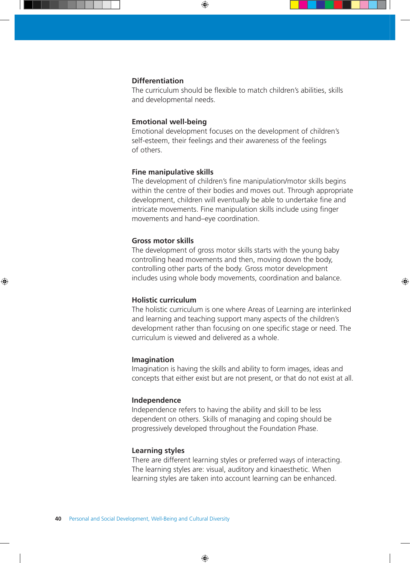#### **Differentiation**

The curriculum should be flexible to match children's abilities, skills and developmental needs.

#### **Emotional well-being**

Emotional development focuses on the development of children's self-esteem, their feelings and their awareness of the feelings of others.

#### **Fine manipulative skills**

The development of children's fine manipulation/motor skills begins within the centre of their bodies and moves out. Through appropriate development, children will eventually be able to undertake fine and intricate movements. Fine manipulation skills include using finger movements and hand–eye coordination.

#### **Gross motor skills**

The development of gross motor skills starts with the young baby controlling head movements and then, moving down the body, controlling other parts of the body. Gross motor development includes using whole body movements, coordination and balance.

#### **Holistic curriculum**

The holistic curriculum is one where Areas of Learning are interlinked and learning and teaching support many aspects of the children's development rather than focusing on one specific stage or need. The curriculum is viewed and delivered as a whole.

#### **Imagination**

Imagination is having the skills and ability to form images, ideas and concepts that either exist but are not present, or that do not exist at all.

#### **Independence**

Independence refers to having the ability and skill to be less dependent on others. Skills of managing and coping should be progressively developed throughout the Foundation Phase.

#### **Learning styles**

There are different learning styles or preferred ways of interacting. The learning styles are: visual, auditory and kinaesthetic. When learning styles are taken into account learning can be enhanced.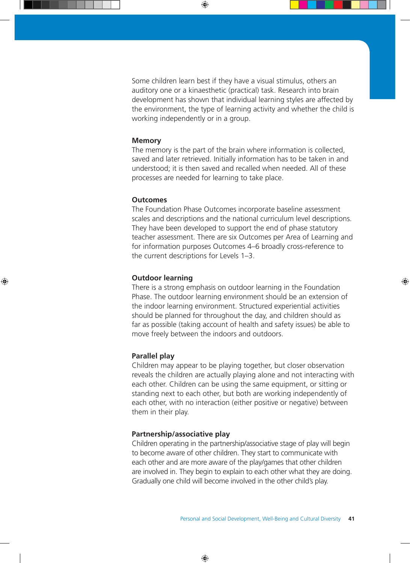Some children learn best if they have a visual stimulus, others an auditory one or a kinaesthetic (practical) task. Research into brain development has shown that individual learning styles are affected by the environment, the type of learning activity and whether the child is working independently or in a group.

#### **Memory**

The memory is the part of the brain where information is collected, saved and later retrieved. Initially information has to be taken in and understood; it is then saved and recalled when needed. All of these processes are needed for learning to take place.

#### **Outcomes**

The Foundation Phase Outcomes incorporate baseline assessment scales and descriptions and the national curriculum level descriptions. They have been developed to support the end of phase statutory teacher assessment. There are six Outcomes per Area of Learning and for information purposes Outcomes 4–6 broadly cross-reference to the current descriptions for Levels 1–3.

#### **Outdoor learning**

There is a strong emphasis on outdoor learning in the Foundation Phase. The outdoor learning environment should be an extension of the indoor learning environment. Structured experiential activities should be planned for throughout the day, and children should as far as possible (taking account of health and safety issues) be able to move freely between the indoors and outdoors.

#### **Parallel play**

Children may appear to be playing together, but closer observation reveals the children are actually playing alone and not interacting with each other. Children can be using the same equipment, or sitting or standing next to each other, but both are working independently of each other, with no interaction (either positive or negative) between them in their play.

#### **Partnership/associative play**

Children operating in the partnership/associative stage of play will begin to become aware of other children. They start to communicate with each other and are more aware of the play/games that other children are involved in. They begin to explain to each other what they are doing. Gradually one child will become involved in the other child's play.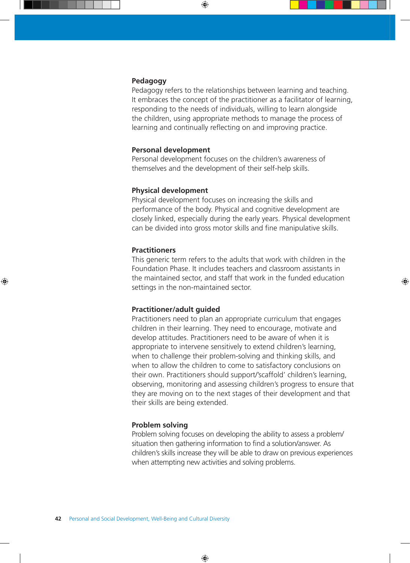#### **Pedagogy**

Pedagogy refers to the relationships between learning and teaching. It embraces the concept of the practitioner as a facilitator of learning, responding to the needs of individuals, willing to learn alongside the children, using appropriate methods to manage the process of learning and continually reflecting on and improving practice.

#### **Personal development**

Personal development focuses on the children's awareness of themselves and the development of their self-help skills.

#### **Physical development**

Physical development focuses on increasing the skills and performance of the body. Physical and cognitive development are closely linked, especially during the early years. Physical development can be divided into gross motor skills and fine manipulative skills.

#### **Practitioners**

This generic term refers to the adults that work with children in the Foundation Phase. It includes teachers and classroom assistants in the maintained sector, and staff that work in the funded education settings in the non-maintained sector.

#### **Practitioner/adult guided**

Practitioners need to plan an appropriate curriculum that engages children in their learning. They need to encourage, motivate and develop attitudes. Practitioners need to be aware of when it is appropriate to intervene sensitively to extend children's learning, when to challenge their problem-solving and thinking skills, and when to allow the children to come to satisfactory conclusions on their own. Practitioners should support/'scaffold' children's learning, observing, monitoring and assessing children's progress to ensure that they are moving on to the next stages of their development and that their skills are being extended.

#### **Problem solving**

Problem solving focuses on developing the ability to assess a problem/ situation then gathering information to find a solution/answer. As children's skills increase they will be able to draw on previous experiences when attempting new activities and solving problems.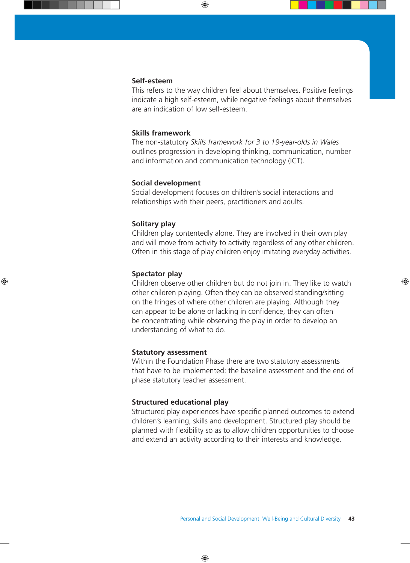#### **Self-esteem**

This refers to the way children feel about themselves. Positive feelings indicate a high self-esteem, while negative feelings about themselves are an indication of low self-esteem.

#### **Skills framework**

The non-statutory *Skills framework for 3 to 19-year-olds in Wales*  outlines progression in developing thinking, communication, number and information and communication technology (ICT).

#### **Social development**

Social development focuses on children's social interactions and relationships with their peers, practitioners and adults.

#### **Solitary play**

Children play contentedly alone. They are involved in their own play and will move from activity to activity regardless of any other children. Often in this stage of play children enjoy imitating everyday activities.

#### **Spectator play**

Children observe other children but do not join in. They like to watch other children playing. Often they can be observed standing/sitting on the fringes of where other children are playing. Although they can appear to be alone or lacking in confidence, they can often be concentrating while observing the play in order to develop an understanding of what to do.

#### **Statutory assessment**

Within the Foundation Phase there are two statutory assessments that have to be implemented: the baseline assessment and the end of phase statutory teacher assessment.

#### **Structured educational play**

Structured play experiences have specific planned outcomes to extend children's learning, skills and development. Structured play should be planned with flexibility so as to allow children opportunities to choose and extend an activity according to their interests and knowledge.